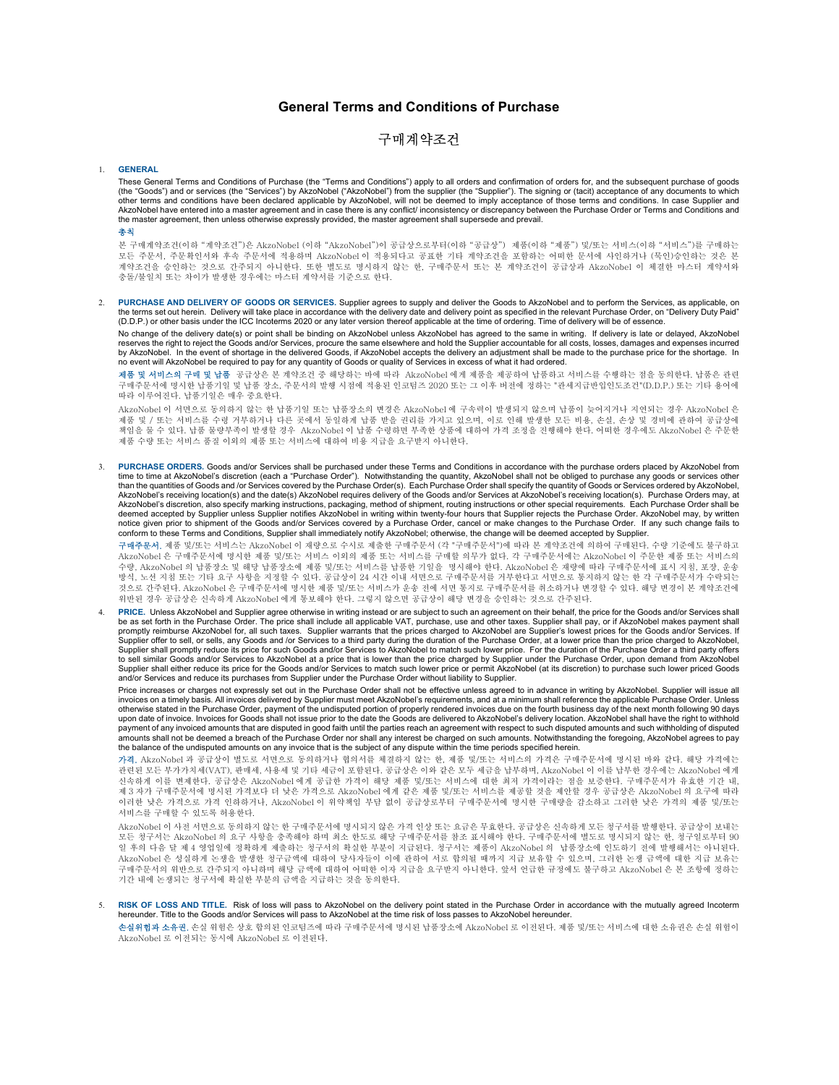## General Terms and Conditions of Purchase

## 구매계약조건

## 1. GENERAL

These General Terms and Conditions of Purchase (the "Terms and Conditions") apply to all orders and confirmation of orders for, and the subsequent purchase of goods (the "Goods") and or services (the "Services") by AkzoNobel ("AkzoNobel") from the supplier (the "Supplier"). The signing or (tacit) acceptance of any documents to which other terms and conditions have been declared applicable by AkzoNobel, will not be deemed to imply acceptance of those terms and conditions. In case Supplier and AkzoNobel have entered into a master agreement and in case there is any conflict/ inconsistency or discrepancy between the Purchase Order or Terms and Conditions and the master agreement, then unless otherwise expressly provided, the master agreement shall supersede and prevail.

총칙

본 구매계약조건(이하 "계약조건")은 AkzoNobel (이하 "AkzoNobel")이 공급상으로부터(이하 "공급상") 제품(이하 "제품") 및/또는 서비스(이하 "서비스")를 구매하는 모든 주문서, 주문확인서와 후속 주문서에 적용하며 AkzoNobel 이 적용되다고 공표한 기타 계약조건을 포함하는 어떠한 문서에 사인하거나 (묵인)승인하는 것은 본 계약조건을 승인하는 것으로 간주되지 아니한다. 또한 별도로 명시하지 않는 한, 구매주문서 또는 본 계약조건이 공급상과 AkzoNobel 이 체결한 마스터 계약서와 충돌/불일치 또는 차이가 발생한 경우에는 마스터 계약서를 기준으로 한다.

2. PURCHASE AND DELIVERY OF GOODS OR SERVICES. Supplier agrees to supply and deliver the Goods to AkzoNobel and to perform the Services, as applicable, on the terms set out herein. Delivery will take place in accordance with the delivery date and delivery point as specified in the relevant Purchase Order, on "Delivery Duty Paid"<br>(D.D.P.) or other basis under the ICC Incoter

No change of the delivery date(s) or point shall be binding on AkzoNobel unless AkzoNobel has agreed to the same in writing. If delivery is late or delayed, AkzoNobel reserves the right to reject the Goods and/or Services, procure the same elsewhere and hold the Supplier accountable for all costs, losses, damages and expenses incurred by AkzoNobel. In the event of shortage in the delivered Goods, if AkzoNobel accepts the delivery an adjustment shall be made to the purchase price for the shortage. In no event will AkzoNobel be required to pay for any quantity of Goods or quality of Services in excess of what it had ordered.

<mark>제품 및 서비스의 구매 및 납품</mark> 공급상은 본 계약조건 중 해당하는 바에 따라 AkzoNobel 에게 제품을 제공하여 납품하고 서비스를 수행하는 점을 동의한다. 납품은 관련<br>구매주문서에 명시한 납품기일 및 납품 장소, 주문서의 발행 시점에 적용된 인코텀즈 2020 또는 그 이후 버전에 정하는 "관세지급반입인도조건"(D.D.P.) 또는 기타 용어에<br>따라 이루어진다. 납품기일은 매우 중요한다.

.<br>AkzoNobel 이 서면으로 동의하지 않는 한 납품기일 또는 납품장소의 변경은 AkzoNobel 에 구속력이 발생되지 않으며 납품이 늦어지거나 지연되는 경우 AkzoNobel 은<br>제품 및 / 또는 서비스를 수령 거부하거나 다른 곳에서 동일하게 납품 받을 권리를 가지고 있으며, 이로 인해 발생한 모든 비용, 손실, 손상 및 경비에 관하여 공급상에 책임을 물 수 있다. 납품 물량부족이 발생할 경우 AkzoNobel 이 납품 수령하면 부족한 상품에 대하여 가격 조정을 진행해야 한다. 어떠한 경우에도 AkzoNobel 은 주문한 제품 수량 또는 서비스 품질 이외의 제품 또는 서비스에 대하여 비용 지급을 요구받지 아니한다.

PURCHASE ORDERS. Goods and/or Services shall be purchased under these Terms and Conditions in accordance with the purchase orders placed by AkzoNobel from time to time at AkzoNobel's discretion (each a "Purchase Order"). Notwithstanding the quantity, AkzoNobel shall not be obliged to purchase any goods or services other than the quantities of Goods and /or Services covered by the Purchase Order(s). Each Purchase Order shall specify the quantity of Goods or Services ordered by AkzoNobel, AkzoNobel's receiving location(s) and the date(s) AkzoNobel requires delivery of the Goods and/or Services at AkzoNobel's receiving location(s). Purchase Orders may, at AkzoNobel's discretion, also specify marking instructions, packaging, method of shipment, routing instructions or other special requirements. Each Purchase Order shall be<br>deemed accepted by Supplier unless Supplier notifi notice given prior to shipment of the Goods and/or Services covered by a Purchase Order, cancel or make changes to the Purchase Order. If any such change fails to conform to these Terms and Conditions, Supplier shall immediately notify AkzoNobel; otherwise, the change will be deemed accepted by Supplier.

구매주문서. 제품 및/또는 서비스는 AkzoNobel 이 재량으로 수시로 제출한 구매주문서 (각 "구매주문서")에 따라 본 계약조건에 의하여 구매된다. 수량 기준에도 불구하고 AkzoNobel 은 구매주문서에 명시한 제품 및/또는 서비스 이외의 제품 또는 서비스를 구매할 의무가 없다. 각 구매주문서에는 AkzoNobel 이 주문한 제품 또는 서비스의 수량, AkzoNobel 의 납품장소 및 해당 납품장소에 제품 및/또는 서비스를 납품한 기일을 명시해야 한다. AkzoNobel 은 재량에 따라 구매주문서에 표시 지침, 포장, 운송 방식, 노선 지침 또는 기타 요구 사항을 지정할 수 있다. 공급상이 24 시간 이내 서면으로 구매주문서를 거부한다고 서면으로 통지하지 않는 한 각 구매주문서가 수락되는 것으로 간주된다. AkzoNobel 은 구매주문서에 명시한 제품 및/또는 서비스가 운송 전에 서면 통지로 구매주문서를 취소하거나 변경할 수 있다. 해당 변경이 본 계약조건에 위반된 경우 공급상은 신속하게 AkzoNobel 에게 통보해야 한다. 그렇지 않으면 공급상이 해당 변경을 승인하는 것으로 간주된다.

PRICE. Unless AkzoNobel and Supplier agree otherwise in writing instead or are subject to such an agreement on their behalf, the price for the Goods and/or Services shall be as set forth in the Purchase Order. The price shall include all applicable VAT, purchase, use and other taxes. Supplier shall pay, or if AkzoNobel makes payment shall promptly reimburse AkzoNobel for, all such taxes. Supplier warrants that the prices charged to AkzoNobel are Supplier's lowest prices for the Goods and/or Services. If<br>Supplier offer to sell, or sells, any Goods and /or S Supplier shall promptly reduce its price for such Goods and/or Services to AkzoNobel to match such lower price. For the duration of the Purchase Order a third party offers to sell similar Goods and/or Services to AkzoNobel at a price that is lower than the price charged by Supplier under the Purchase Order, upon demand from AkzoNobel<br>Supplier shall either reduce its price for the Goods and/o and/or Services and reduce its purchases from Supplier under the Purchase Order without liability to Supplier.

Price increases or charges not expressly set out in the Purchase Order shall not be effective unless agreed to in advance in writing by AkzoNobel. Supplier will issue all invoices on a timely basis. All invoices delivered by Supplier must meet AkzoNobel's requirements, and at a minimum shall reference the applicable Purchase Order. Unless otherwise stated in the Purchase Order, payment of the undisputed portion of properly rendered invoices due on the fourth business day of the next month following 90 days upon date of invoice. Invoices for Goods shall not issue prior to the date the Goods are delivered to AkzoNobel's delivery location. AkzoNobel shall have the right to withhold payment of any invoiced amounts that are disputed in good faith until the parties reach an agreement with respect to such disputed amounts and such withholding of disputed amounts shall not be deemed a breach of the Purchase Order nor shall any interest be charged on such amounts. Notwithstanding the foregoing, AkzoNobel agrees to pay the balance of the undisputed amounts on any invoice that is the subject of any dispute within the time periods specified herein.

가격. AkzoNobel 과 공급상이 별도로 서면으로 동의하거나 협의서를 체결하지 않는 한, 제품 및/또는 서비스의 가격은 구매주문서에 명시된 바와 같다. 해당 가격에는 관련된 모든 부가가치세(VAT), 판매세, 사용세 및 기타 세금이 포함된다. 공급상은 이와 같은 모두 세금을 납부하며, AkzoNobel 이 이를 납부한 경우에는 AkzoNobel 에게 신속하게 이를 변제한다. 공급상은 AkzoNobel 에게 공급한 가격이 해당 제품 및/또는 서비스에 대한 최저 가격이라는 점을 보증한다. 구매주문서가 유효한 기간 내, 제 3 자가 구매주문서에 명시된 가격보다 더 낮은 가격으로 AkzoNobel 에게 같은 제품 및/또는 서비스를 제공할 것을 제안할 경우 공급상은 AkzoNobel 의 요구에 따라 이러한 낮은 가격으로 가격 인하하거나, AkzoNobel 이 위약책임 부담 없이 공급상로부터 구매주문서에 명시한 구매량을 감소하고 그러한 낮은 가격의 제품 및/또는 서비스를 구매할 수 있도록 허용한다.

AkzoNobel 이 사전 서면으로 동의하지 않는 한 구매주문서에 명시되지 않은 가격 인상 또는 요금은 무효한다. 공급상은 신속하게 모든 청구서를 발행한다. 공급상이 보내는<br>모든 청구서는 AkzoNobel 의 요구 사항을 충족해야 하며 최소 한도로 해당 구매주문서를 참조 표시해야 한다. 구매주문서에 별도로 명시되지 않는 한, 청구일로부터 90<br>일 후의 다음 달 제 4 영업일에 정확하게 제출하는 AkzoNobel 은 성실하게 논쟁을 발생한 청구금액에 대하여 당사자들이 이에 관하여 서로 합의될 때까지 지급 보유할 수 있으며, 그러한 논쟁 금액에 대한 지급 보유는 구매주문서의 위반으로 간주되지 아니하며 해당 금액에 대하여 어떠한 이자 지급을 요구받지 아니한다. 앞서 언급한 규정에도 불구하고 AkzoNobel 은 본 조항에 정하는 기간 내에 논쟁되는 청구서에 확실한 부분의 금액을 지급하는 것을 동의한다.

5. RISK OF LOSS AND TITLE. Risk of loss will pass to AkzoNobel on the delivery point stated in the Purchase Order in accordance with the mutually agreed Incoterm<br>hereunder. Title to the Goods and/or Services will pass to A

손실위험과 소유권. 손실 위험은 상호 합의된 인코텀즈에 따라 구매주문서에 명시된 납품장소에 AkzoNobel 로 이전된다. 제품 및/또는 서비스에 대한 소유권은 손실 위험이 AkzoNobel 로 이전되는 동시에 AkzoNobel 로 이전된다.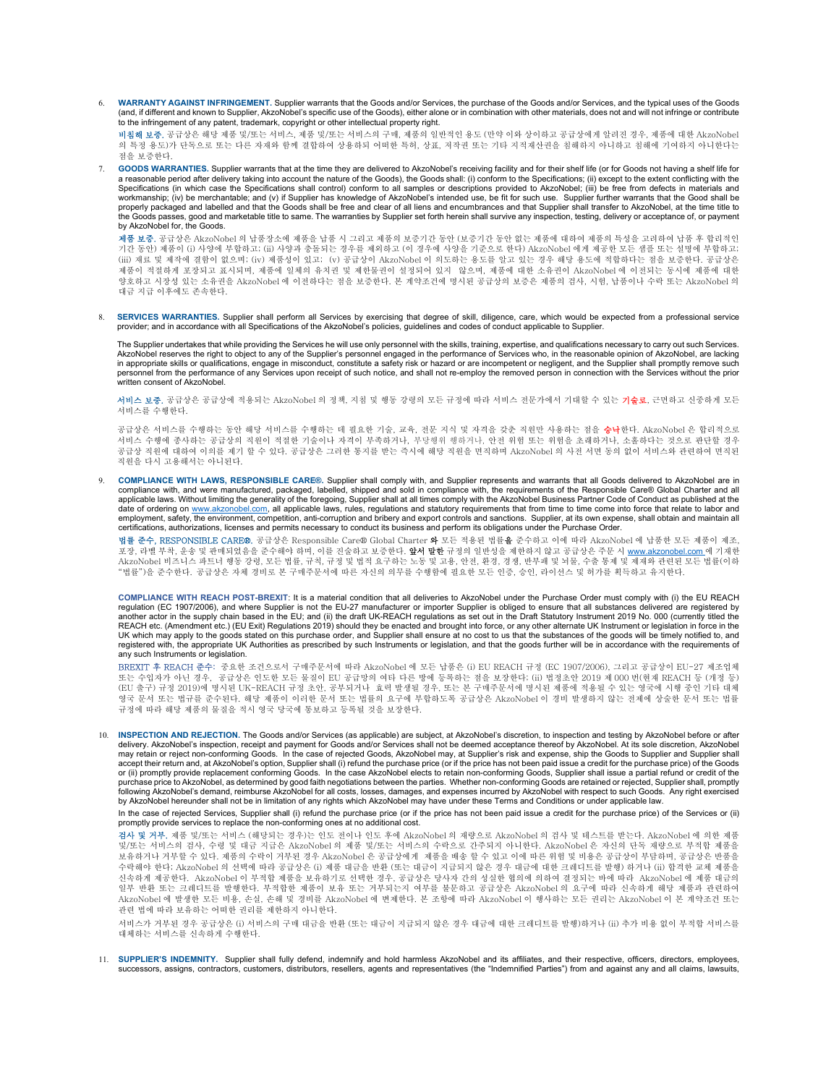6. WARRANTY AGAINST INFRINGEMENT. Supplier warrants that the Goods and/or Services, the purchase of the Goods and/or Services, and the typical uses of the Goods (and, if different and known to Supplier, AkzoNobel's specific use of the Goods), either alone or in combination with other materials, does not and will not infringe or contribute to the infringement of any patent, trademark, copyright or other intellectual property right.

비**침해 보증.** 공급상은 해당 제품 및/또는 서비스, 제품 및/또는 서비스의 구매, 제품의 일반적인 용도 (만약 이와 상이하고 공급상에게 알려진 경우, 제품에 대한 AkzoNobel 의 특정 용도)가 단독으로 또는 다른 자재와 함께 결합하여 상용하되 어떠한 특허, 상표, 저작권 또는 기타 지적재산권을 침해하지 아니하고 침해에 기여하지 아니한다는 점을 보증한다.

7. GOODS WARRANTIES. Supplier warrants that at the time they are delivered to AkzoNobel's receiving facility and for their shelf life (or for Goods not having a shelf life for a reasonable period after delivery taking into account the nature of the Goods), the Goods shall: (i) conform to the Specifications; (ii) except to the extent conflicting with the Specifications (in which case the Specifications shall control) conform to all samples or descriptions provided to AkzoNobel; (iii) be free from defects in materials and workmanship; (iv) be merchantable; and (v) if Supplier has knowledge of AkzoNobel's intended use, be fit for such use. Supplier further warrants that the Good shall be<br>properly packaged and labelled and that the Goods sha the Goods passes, good and marketable title to same. The warranties by Supplier set forth herein shall survive any inspection, testing, delivery or acceptance of, or payment by AkzoNobel for, the Goods.

제**품 보증.** 공급상은 AkzoNobel 의 납품장소에 제품을 납품 시 그리고 제품의 보증기간 동안 (보증기간 동안 없는 제품에 대하여 제품의 특성을 고려하여 납품 후 합리적인 기간 동안) 제품이 (i) 사양에 부합하고; (ii) 사양과 충돌되는 경우를 제외하고 (이 경우에 사양을 기준으로 한다) AkzoNobel 에게 제공한 모든 샘플 또는 설명에 부합하고;<br>(iii) 재료 및 제작에 결함이 없으며; (iv) 제품성이 있고; (v) 공급상이 AkzoNobel 이 의도하는 용도를 알고 있는 경우 해당 용도에 적합하다는 점을 보증한다. 공급상은 제품이 적절하게 포장되고 표시되며, 제품에 일체의 유치권 및 제한물권이 설정되어 있지 않으며, 제품에 대한 소유권이 AkzoNobel 에 이전되는 동시에 제품에 대한 양호하고 시장성 있는 소유권을 AkzoNobel 에 이전하다는 점을 보증한다. 본 계약조건에 명시된 공급상의 보증은 제품의 검사, 시험, 납품이나 수락 또는 AkzoNobel 의 대금 지급 이후에도 존속한다.

8. SERVICES WARRANTIES. Supplier shall perform all Services by exercising that degree of skill, diligence, care, which would be expected from a professional service<br>provider; and in accordance with all Specifications of th

The Supplier undertakes that while providing the Services he will use only personnel with the skills, training, expertise, and qualifications necessary to carry out such Services. AkzoNobel reserves the right to object to any of the Supplier's personnel engaged in the performance of Services who, in the reasonable opinion of AkzoNobel, are lacking<br>in appropriate skills or qualifications, engage in m personnel from the performance of any Services upon receipt of such notice, and shall not re-employ the removed person in connection with the Services without the prior written consent of AkzoNobel.

**서비스 보증.** 공급상은 공급상에 적용되는 AkzoNobel 의 정책, 지침 및 행동 강령의 모든 규정에 따라 서비스 전문가에서 기대할 수 있는 **기술로**, 근면하고 신중하게 모든 서비스를 수행한다.

공급상은 서비스를 수행하는 동안 해당 서비스를 수행하는 데 필요한 기술, 교육, 전문 지식 및 자격을 갖춘 직원만 사용하는 점을 승낙한다. AkzoNobel 은 합리적으로 서비스 수행에 종사하는 공급상의 직원이 적절한 기술이나 자격이 부족하거나, 부당행위 행하거나, 안전 위험 또는 위험을 초래하거나, 소홀하다는 것으로 판단할 경우<br>공급상 직원에 대하여 이의를 제기 할 수 있다. 공급상은 그러한 통지를 받는 즉시에 해당 직원을 면직하며 AkzoNobel 의 사전 서면 동의 없이 서비스와 관련하여 면직된 직원을 다시 고용해서는 아니된다.

9. COMPLIANCE WITH LAWS, RESPONSIBLE CARE®. Supplier shall comply with, and Supplier represents and warrants that all Goods delivered to AkzoNobel are in compliance with, and were manufactured, packaged, labelled, shipped and sold in compliance with, the requirements of the Responsible Care® Global Charter and all<br>applicable laws. Without limiting the generality of the for date of ordering on <u>www.akzonobel.com</u>, all applicable laws, rules, regulations and statutory requirements that from time to time come into force that relate to labor and<br>employment, safety, the environment, competition, certifications, authorizations, licenses and permits necessary to conduct its business and perform its obligations under the Purchase Order.

**법률 준수, RESPONSIBLE CARE®.** 공급상은 Responsible Care® Global Charter **와** 모든 적용된 법률**을** 준수하고 이에 따라 AkzoNobel 에 납품한 모든 제품이 제조,<br>요장, 라벨 부착, 운송 및 판매되었음을 준수해야 하며, 이를 진술하고 보증한다. **앞서 말한** 규정의 일반성을 제한하지 않고 공급상은 주문 시 <u>www.akzonobel.com </u>

COMPLIANCE WITH REACH POST-BREXIT: It is a material condition that all deliveries to AkzoNobel under the Purchase Order must comply with (i) the EU REACH regulation (EC 1907/2006), and where Supplier is not the EU-27 manufacturer or importer Supplier is obliged to ensure that all substances delivered are registered by<br>another actor in the supply chain based in the EU; and ( UK which may apply to the goods stated on this purchase order, and Supplier shall ensure at no cost to us that the substances of the goods will be timely notified to, and registered with, the appropriate UK Authorities as prescribed by such Instruments or legislation, and that the goods further will be in accordance with the requirements of any such Instruments or legislation.

BREXIT 후 REACH 준수: 중요한 조건으로서 구매주문서에 따라 AkzoNobel 에 모든 납품은 (i) EU REACH 규정 (EC 1907/2006), 그리고 공급상이 EU-27 제조업체 또는 수입자가 아닌 경우, 공급상은 인도한 모든 물질이 EU 공급망의 여타 다른 방에 등록하는 점을 보장한다; (ii) 법정초안 2019 제 000 번(현재 REACH 등 (개정 등)<br>(EU 출구) 규정 2019)에 명시된 UK-REACH 규정 초안, 공부되거나 효력 발생될 경우, 또는 본 구매주문서에 명시된 제품에 적용될 수 있는 영국에 시행 중인 기타 대체<br>영국 문서 또는 법규를 준수된 규정에 따라 해당 제품의 물질을 적시 영국 당국에 통보하고 등록될 것을 보장한다.

10. INSPECTION AND REJECTION. The Goods and/or Services (as applicable) are subject, at AkzoNobel's discretion, to inspection and testing by AkzoNobel before or after delivery. AkzoNobel's inspection, receipt and payment for Goods and/or Services shall not be deemed acceptance thereof by AkzoNobel. At its sole discretion, AkzoNobel may retain or reject non-conforming Goods. In the case of rejected Goods, AkzoNobel may, at Supplier's risk and expense, ship the Goods to Supplier and Supplier shall<br>accept their return and, at AkzoNobel's option, Suppli or (ii) promptly provide replacement conforming Goods. In the case AkzoNobel elects to retain non-conforming Goods, Supplier shall issue a partial refund or credit of the purchase price to AkzoNobel, as determined by good faith negotiations between the parties. Whether non-conforming Goods are retained or rejected, Supplier shall, promptly<br>following AkzoNobel's demand, reimburse AkzoNobel f by AkzoNobel hereunder shall not be in limitation of any rights which AkzoNobel may have under these Terms and Conditions or under applicable law.

In the case of rejected Services, Supplier shall (i) refund the purchase price (or if the price has not been paid issue a credit for the purchase price) of the Services or (ii) promptly provide services to replace the non-conforming ones at no additional cost.

**검사 및 거부.** 제품 및/또는 서비스 (해당되는 경우)는 인도 전이나 인도 후에 AkzoNobel 의 재량으로 AkzoNobel 의 검사 및 테스트를 받는다. AkzoNobel 에 의한 제품<br>및/또는 서비스의 검사, 수령 및 대금 지급은 AkzoNobel 의 제품 및/또는 서비스의 수락으로 간주되지 아니한다. AkzoNobel 은 자신의 단독 재량으로 부적합 제품을 보유하거나 거부할 수 있다. 제품의 수락이 거부된 경우 AkzoNobel 은 공급상에게 제품을 배송 할 수 있고 이에 따른 위험 및 비용은 공급상이 부담하며, 공급상은 반품을 수락해야 한다; AkzoNobel 의 선택에 따라 공급상은 (i) 제품 대금을 반환 (또는 대금이 지급되지 않은 경우 대금에 대한 크레디트를 발행) 하거나 (ii) 합격한 교체 제품을 신속하게 제공한다. AkzoNobel 이 부적합 제품을 보유하기로 선택한 경우, 공급상은 당사자 간의 성실한 협의에 의하여 결정되는 바에 따라 AkzoNobel 에 제품 대금의 일부 반환 또는 크레디트를 발행한다. 부적합한 제품이 보유 또는 거부되는지 여부를 불문하고 공급상은 AkzoNobel 의 요구에 따라 신속하게 해당 제품과 관련하여<br>AkzoNobel 에 발생한 모든 비용, 손실, 손해 및 경비를 AkzoNobel 에 변제한다. 본 조항에 따라 AkzoNobel 이 행사하는 모든 권리는 AkzoNobel 이 본 계약조건 또는 관련 법에 따라 보유하는 어떠한 권리를 제한하지 아니한다.

서비스가 거부된 경우 공급상은 (i) 서비스의 구매 대금을 반환 (또는 대금이 지급되지 않은 경우 대금에 대한 크레디트를 발행)하거나 (ii) 추가 비용 없이 부적합 서비스를 대체하는 서비스를 신속하게 수행한다.

11. SUPPLIER'S INDEMNITY. Supplier shall fully defend, indemnify and hold harmless AkzoNobel and its affiliates, and their respective, officers, directors, employees, successors, assigns, contractors, customers, distributors, resellers, agents and representatives (the "Indemnified Parties") from and against any and all claims, lawsuits,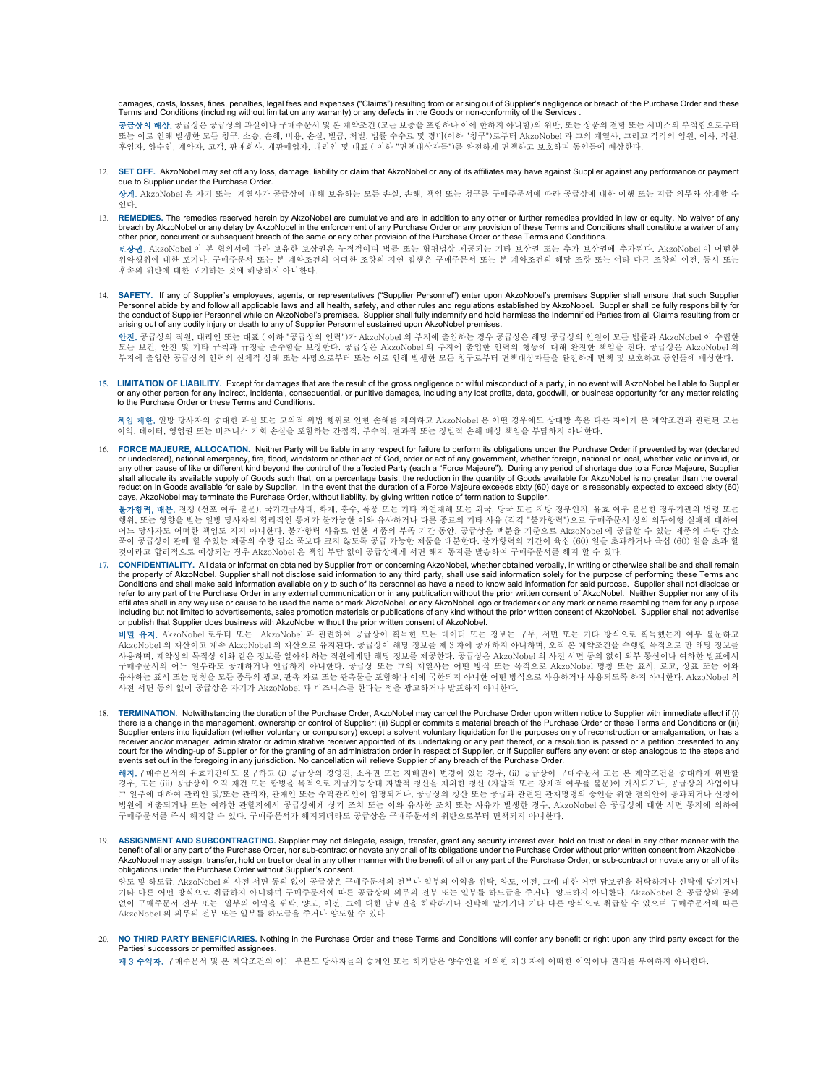damages, costs, losses, fines, penalties, legal fees and expenses ("Claims") resulting from or arising out of Supplier's negligence or breach of the Purchase Order and these Terms and Conditions (including without limitation any warranty) or any defects in the Goods or non-conformity of the Services .

공급상의 배상. 공급상은 공급상의 과실이나 구매주문서 및 본 계약조건 (모든 보증을 포함하나 이에 한하지 아니함)의 위반, 또는 상품의 결함 또는 서비스의 부적합으로부터 또는 이로 인해 발생한 모든 청구, 소송, 손해, 비용, 손실, 벌금, 처벌, 법률 수수료 및 경비(이하 "청구")로부터 AkzoNobel 과 그의 계열사, 그리고 각각의 임원, 이사, 직원,<br>후임자, 양수인, 계약자, 고객, 판매회사, 재판매업자, 대리인 및 대표 ( 이하 "면책대상자들")를 완전하게 면책하고 보호하며 동인들에 배상한다.

12. SET OFF. AkzoNobel may set off any loss, damage, liability or claim that AkzoNobel or any of its affiliates may have against Supplier against any performance or payment due to Supplier under the Purchase Order.

상계. AkzoNobel 은 자기 또는 계열사가 공급상에 대해 보유하는 모든 손실, 손해, 책임 또는 청구를 구매주문서에 따라 공급상에 대한 이행 또는 지급 의무와 상계할 수 있다.

13. REMEDIES. The remedies reserved herein by AkzoNobel are cumulative and are in addition to any other or further remedies provided in law or equity. No waiver of any breach by AkzoNobel or any delay by AkzoNobel in the enforcement of any Purchase Order or any provision of these Terms and Conditions shall constitute a waiver of any other prior, concurrent or subsequent breach of the same or any other provision of the Purchase Order or these Terms and Conditions.

보상권. AkzoNobel 이 본 협의서에 따라 보유한 보상권은 누적적이며 법률 또는 형평법상 제공되는 기타 보상권 또는 추가 보상권에 추가된다. AkzoNobel 이 어떤한 위약행위에 대한 포기나, 구매주문서 또는 본 계약조건의 어떠한 조항의 지연 집행은 구매주문서 또는 본 계약조건의 해당 조항 또는 여타 다른 조항의 이전, 동시 또는 후속의 위반에 대한 포기하는 것에 해당하지 아니한다.

14. SAFETY. If any of Supplier's employees, agents, or representatives ("Supplier Personnel") enter upon AkzoNobel's premises Supplier shall ensure that such Supplier Personnel abide by and follow all applicable laws and all health, safety, and other rules and regulations established by AkzoNobel. Supplier shall be fully responsibility for the conduct of Supplier Personnel while on AkzoNobel's premises. Supplier shall fully indemnify and hold harmless the Indemnified Parties from all Claims resulting from or arising out of any bodily injury or death to any of Supplier Personnel sustained upon AkzoNobel premises.

**안전.** 공급상의 직원, 대리인 또는 대표 ( 이하 "공급상의 인력")가 AkzoNobel 의 부지에 출입하는 경우 공급상은 해당 공급상의 인원이 모든 법률과 AkzoNobel 이 수립한<br>모든 보건, 안전 및 기타 규칙과 규정을 준수함을 보장한다. 공급상은 AkzoNobel 의 부지에 출입한 인력의 행동에 대해 완전한 책임을 진다. 공급상은 AkzoNobel 의 부지에 출입한 공급상의 인력의 신체적 상해 또는 사망으로부터 또는 이로 인해 발생한 모든 청구로부터 면책대상자들을 완전하게 면책 및 보호하고 동인들에 배상한다.

15. LIMITATION OF LIABILITY. Except for damages that are the result of the gross negligence or wilful misconduct of a party, in no event will AkzoNobel be liable to Supplier or any other person for any indirect, incidental, consequential, or punitive damages, including any lost profits, data, goodwill, or business opportunity for any matter relating to the Purchase Order or these Terms and Conditions.

책임 제한. 일방 당사자의 중대한 과실 또는 고의적 위법 행위로 인한 손해를 제외하고 AkzoNobel 은 어떤 경우에도 상대방 혹은 다른 자에게 본 계약조건과 관련된 모든 이익, 데이터, 영업권 또는 비즈니스 기회 손실을 포함하는 간접적, 부수적, 결과적 또는 징벌적 손해 배상 책임을 부담하지 아니한다.

16. FORCE MAJEURE, ALLOCATION. Neither Party will be liable in any respect for failure to perform its obligations under the Purchase Order if prevented by war (declared or undeclared), national emergency, fire, flood, windstorm or other act of God, order or act of any government, whether foreign, national or local, whether valid or invalid, or any other cause of like or different kind beyond the control of the affected Party (each a "Force Majeure"). During any period of shortage due to a Force Majeure, Supplier<br>shall allocate its available supply of Goods such reduction in Goods available for sale by Supplier. In the event that the duration of a Force Majeure exceeds sixty (60) days or is reasonably expected to exceed sixty (60) days, AkzoNobel may terminate the Purchase Order, without liability, by giving written notice of termination to Supplier.

불가항력, 배분. 전쟁 (선포 여부 불문), 국가긴급사태, 화재, 홍수, 폭풍 또는 기타 자연재해 또는 외국, 당국 또는 지방 정부인지, 유효 여부 불문한 정부기관의 법령 또는 행위, 또는 영향을 받는 일방 당사자의 합리적인 통제가 불가능한 이와 유사하거나 다른 종료의 기타 사유 (각각 "불가항력")으로 구매주문서 상의 의무이행 실패에 대하여 어느 당사자도 어떠한 책임도 지지 아니한다. 불가항력 사유로 인한 제품의 부족 기간 동안, 공급상은 백분율 기준으로 AkzoNobel 에 공급할 수 있는 제품의 수량 감소 푹이 공급상이 판매 할 수있는 제품의 수량 감소 푹보다 크지 않도록 공급 가능한 제품을 배분한다. 불가항력의 기간이 육십 (60) 일을 초과하거나 육십 (60) 일을 초과 할<br>것이라고 합리적으로 예상되는 경우 AkzoNobel 은 책임 부담 없이 공급상에게 서면 해지 통지를 발송하여 구매주문서를 해지 할 수 있다.

17. CONFIDENTIALITY. All data or information obtained by Supplier from or concerning AkzoNobel, whether obtained verbally, in writing or otherwise shall be and shall remain the property of AkzoNobel. Supplier shall not disclose said information to any third party, shall use said information solely for the purpose of performing these Terms and Conditions and shall make said information available only to such of its personnel as have a need to know said information for said purpose. Supplier shall not disclose or refer to any part of the Purchase Order in any external communication or in any publication without the prior written consent of AkzoNobel. Neither Supplier nor any of its affiliates shall in any way use or cause to be used the name or mark AkzoNobel, or any AkzoNobel logo or trademark or any mark or name resembling them for any purpose including but not limited to advertisements, sales promotion materials or publications of any kind without the prior written consent of AkzoNobel. Supplier shall not advertise or publish that Supplier does business with AkzoNobel without the prior written consent of AkzoNobel.

**비밀 유지.** AkzoNobel 로부터 또는 AkzoNobel 과 관련하여 공급상이 획득한 모든 데이터 또는 정보는 구두, 서면 또는 기타 방식으로 획득했는지 여부 불문하고<br>AkzoNobel 의 재산이고 계속 AkzoNobel 의 재산으로 유지된다. 공급상이 해당 정보를 제 3 자에 공개하지 아니하며, 오직 본 계약조건을 수행할 목적으로 만 해당 정보를<br>사용하며, 계약상의 목적상 이와 같 구매주문서의 어느 일부라도 공개하거나 언급하지 아니한다. 공급상 또는 그의 계열사는 어떤 방식 또는 목적으로 AkzoNobel 명칭 또는 표시, 로고, 상표 또는 이와 유사하는 표시 또는 명칭을 모든 종류의 광고, 판촉 자료 또는 판촉물을 포함하나 이에 국한되지 아니한 어떤 방식으로 사용하거나 사용되도록 하지 아니한다. AkzoNobel 의 사전 서면 동의 없이 공급상은 자기가 AkzoNobel 과 비즈니스를 한다는 점을 광고하거나 발표하지 아니한다.

18. TERMINATION. Notwithstanding the duration of the Purchase Order, AkzoNobel may cancel the Purchase Order upon written notice to Supplier with immediate effect if (i) there is a change in the management, ownership or control of Supplier; (ii) Supplier commits a material breach of the Purchase Order or these Terms and Conditions or (iii) Supplier enters into liquidation (whether voluntary or compulsory) except a solvent voluntary liquidation for the purposes only of reconstruction or amalgamation, or has a<br>receiver and/or manager, administrator or administ court for the winding-up of Supplier or for the granting of an administration order in respect of Supplier, or if Supplier suffers any event or step analogous to the steps and events set out in the foregoing in any jurisdiction. No cancellation will relieve Supplier of any breach of the Purchase Order.

해지.구매주문서의 유효기간에도 불구하고 (i) 공급상의 경영진, 소유권 또는 지배권에 변경이 있는 경우, (ii) 공급상이 구매주문서 또는 본 계약조건을 중대하게 위반할 경우, 또는 (iii) 공급상이 오직 재건 또는 합병을 목적으로 지급가능상태 자발적 청산을 제외한 청산 (자발적 또는 강제적 여부를 불문)이 개시되거나, 공급상의 사업이나<br>그 일부에 대하여 관리인 및/또는 관리자, 관재인 또는 수탁관리인이 임명되거나, 공급상의 청산 또는 공급과 관련된 관재명령의 승인을 위한 결의안이 통과되거나 신청이 법원에 제출되거나 또는 여하한 관할지에서 공급상에게 상기 조치 또는 이와 유사한 조치 또는 사유가 발생한 경우, AkzoNobel 은 공급상에 대한 서면 통지에 의하여 구매주문서를 즉시 해지할 수 있다. 구매주문서가 해지되더라도 공급상은 구매주문서의 위반으로부터 면책되지 아니한다.

19. ASSIGNMENT AND SUBCONTRACTING. Supplier may not delegate, assign, transfer, grant any security interest over, hold on trust or deal in any other manner with the benefit of all or any part of the Purchase Order, nor sub-contract or novate any or all of its obligations under the Purchase Order without prior written consent from AkzoNobel. AkzoNobel may assign, transfer, hold on trust or deal in any other manner with the benefit of all or any part of the Purchase Order, or sub-contract or novate any or all of its<br>obligations under the Purchase Order without

양도 및 하도급. AkzoNobel 의 사전 서면 동의 없이 공급상은 구매주문서의 전부나 일부의 이익을 위탁, 양도, 이전, 그에 대한 어떤 담보권을 허락하거나 신탁에 맡기거나 기타 다른 어떤 방식으로 취급하지 아니하며 구매주문서에 따른 공급상의 의무의 전부 또는 일부를 하도급을 주거나 양도하지 아니한다. AkzoNobel 은 공급상의 동의 없이 구매주문서 전부 또는 일부의 이익을 위탁, 양도, 이전, 그에 대한 담보권을 허락하거나 신탁에 맡기거나 기타 다른 방식으로 취급할 수 있으며 구매주문서에 따른 AkzoNobel 의 의무의 전부 또는 일부를 하도급을 주거나 양도할 수 있다.

20. NO THIRD PARTY BENEFICIARIES. Nothing in the Purchase Order and these Terms and Conditions will confer any benefit or right upon any third party except for the Parties' successors or permitted assignees.

제 3 수익자. 구매주문서 및 본 계약조건의 어느 부분도 당사자들의 승계인 또는 허가받은 양수인을 제외한 제 3 자에 어떠한 이익이나 권리를 부여하지 아니한다.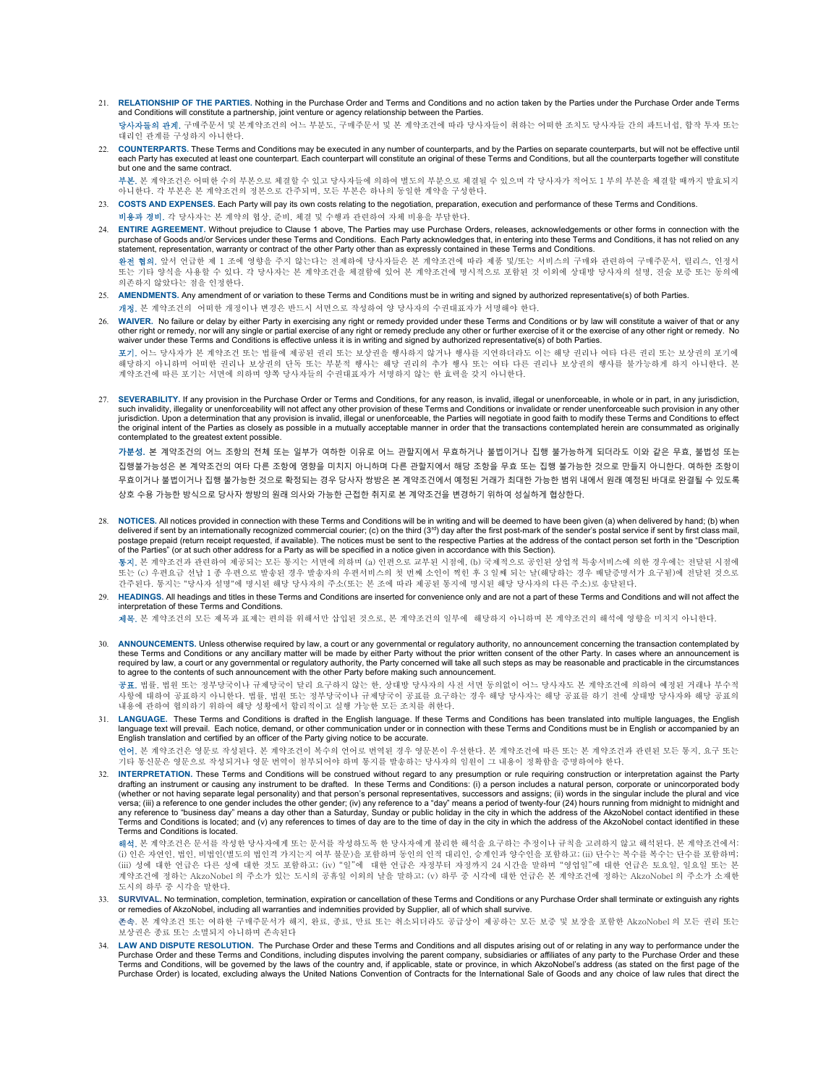- 21. RELATIONSHIP OF THE PARTIES. Nothing in the Purchase Order and Terms and Conditions and no action taken by the Parties under the Purchase Order ande Terms and Conditions will constitute a partnership, joint venture or agency relationship between the Parties. 당사자들의 관계. 구매주문서 및 본계약조건의 어느 부분도, 구매주문서 및 본 계약조건에 따라 당사자들이 취하는 어떠한 조치도 당사자들 간의 파트너쉽, 합작 투자 또는 대리인 관계를 구성하지 아니한다.
- 22. COUNTERPARTS. These Terms and Conditions may be executed in any number of counterparts, and by the Parties on separate counterparts, but will not be effective until each Party has executed at least one counterpart. Each counterpart will constitute an original of these Terms and Conditions, but all the counterparts together will constitute but one and the same contract.

부본. 본 계약조건은 어떠한 수의 부본으로 체결할 수 있고 당사자들에 의하여 별도의 부분으로 체결될 수 있으며 각 당사자가 적어도 1 부의 부본을 체결할 때까지 발효되지 아니한다. 각 부본은 본 계약조건의 정본으로 간주되며, 모든 부본은 하나의 동일한 계약을 구성한다.

- 23. COSTS AND EXPENSES. Each Party will pay its own costs relating to the negotiation, preparation, execution and performance of these Terms and Conditions. **비용과 경비.** 각 당사자는 본 계약의 협상, 준비, 체결 및 수행과 관련하여 자체 비용을 부담한다.
- 24. ENTIRE AGREEMENT. Without prejudice to Clause 1 above, The Parties may use Purchase Orders, releases, acknowledgements or other forms in connection with the purchase of Goods and/or Services under these Terms and Conditions. Each Party acknowledges that, in entering into these Terms and Conditions, it has not relied on any statement, representation, warranty or contract of the other Party other than as expressly contained in these Terms and Conditions. 완전 협의. 앞서 언급한 제 1 조에 영향을 주지 않는다는 전제하에 당사자들은 본 계약조건에 따라 제품 및/또는 서비스의 구매와 관련하여 구매주문서, 릴리스, 인정서 또는 기타 양식을 사용할 수 있다. 각 당사자는 본 계약조건을 체결함에 있어 본 계약조건에 명시적으로 포함된 것 이외에 상대방 당사자의 설명, 진술 보증 또는 동의에 의존하지 않았다는 점을 인정한다.
- 25. AMENDMENTS. Any amendment of or variation to these Terms and Conditions must be in writing and signed by authorized representative(s) of both Parties. 개정. 본 계약조건의 어떠한 개정이나 변경은 반드시 서면으로 작성하여 양 당사자의 수권대표자가 서명해야 한다.
- 26. WAIVER. No failure or delay by either Party in exercising any right or remedy provided under these Terms and Conditions or by law will constitute a waiver of that or any other right or remedy, nor will any single or partial exercise of any right or remedy preclude any other or further exercise of it or the exercise of any other right or remedy. No<br>waiver under these Terms and Conditions i **포기.** 어느 당사자가 본 계약조건 또는 법률에 제공된 권리 또는 보상권을 행사하지 않거나 행사를 지연하더라도 이는 해당 권리나 여타 다른 권리 또는 보상권의 포기에<br>해당하지 아니하며 어떠한 권리나 보상권의 단독 또는 부분적 행사는 해당 권리의 추가 행사 또는 여타 다른 권리나 보상권의 행사를 불가능하게 하지 아니한다. 본<br>계약조건에 따른 포기는 서면에 의하며 양쪽 당사자들의 수권대표자가 서
- 27. SEVERABILITY. If any provision in the Purchase Order or Terms and Conditions, for any reason, is invalid, illegal or unenforceable, in whole or in part, in any jurisdiction, such invalidity, illegality or unenforceability will not affect any other provision of these Terms and Conditions or invalidate or render unenforceable such provision in any other jurisdiction. Upon a determination that any provision is invalid, illegal or unenforceable, the Parties will negotiate in good faith to modify these Terms and Conditions to effect the original intent of the Parties as closely as possible in a mutually acceptable manner in order that the transactions contemplated herein are consummated as originally contemplated to the greatest extent possible.

가분성. 본 계약조건의 어느 조항의 전체 또는 일부가 여하한 이유로 어느 관할지에서 무효하거나 불법이거나 집행 불가능하게 되더라도 이와 같은 무효, 불법성 또는 집행불가능성은 본 계약조건의 여타 다른 조항에 영향을 미치지 아니하며 다른 관할지에서 해당 조항을 무효 또는 집행 불가능한 것으로 만들지 아니한다. 여하한 조항이 무효이거나 불법이거나 집행 불가능한 것으로 확정되는 경우 당사자 쌍방은 본 계약조건에서 예정된 거래가 최대한 가능한 범위 내에서 원래 예정된 바대로 완결될 수 있도록 상호 수용 가능한 방식으로 당사자 쌍방의 원래 의사와 가능한 근접한 취지로 본 계약조건을 변경하기 위하여 성실하게 협상한다.

28. NOTICES. All notices provided in connection with these Terms and Conditions will be in writing and will be deemed to have been given (a) when delivered by hand; (b) when delivered if sent by an internationally recognized commercial courier; (c) on the third ( $3<sup>rd</sup>$ ) day after the first post-mark of the sender's postal service if sent by first class mail, postage prepaid (return receipt requested, if available). The notices must be sent to the respective Parties at the address of the contact person set forth in the "Description<br>of the Parties" (or at such other address for

통지. 본 계약조건과 관련하여 제공되는 모든 통지는 서면에 의하며 (a) 인편으로 교부된 시점에, (b) 국제적으로 공인된 상업적 특송서비스에 의한 경우에는 전달된 시점에 또는 (c) 우편요금 선납 1 종 우편으로 발송된 경우 발송자의 우편서비스의 첫 번째 소인이 찍힌 후 3 일째 되는 날(해당하는 경우 배달증명서가 요구됨)에 전달된 것으로<br>간주된다. 통지는 "당사자 설명"에 명시된 해당 당사자의 주소(또는 본 조에 따라 제공된 통지에 명시된 해당 당사자의 다른 주소)로 송달된다.

29. HEADINGS. All headings and titles in these Terms and Conditions are inserted for convenience only and are not a part of these Terms and Conditions and will not affect the interpretation of these Terms and Conditions.

제목. 본 계약조건의 모든 제목과 표제는 편의를 위해서만 삽입된 것으로, 본 계약조건의 일부에 해당하지 아니하며 본 계약조건의 해석에 영향을 미치지 아니한다.

30. ANNOUNCEMENTS. Unless otherwise required by law, a court or any governmental or regulatory authority, no announcement concerning the transaction contemplated by these Terms and Conditions or any ancillary matter will be made by either Party without the prior written consent of the other Party. In cases where an announcement is<br>required by law, a court or any governmental or regula to agree to the contents of such announcement with the other Party before making such announcement.

공표. 법률, 법원 또는 정부당국이나 규제당국이 달리 요구하지 않는 한, 상대방 당사자의 사전 서면 동의없이 어느 당사자도 본 계약조건에 의하여 예정된 거래나 부수적 사항에 대하여 공표하지 아니한다. 법률, 법원 또는 정부당국이나 규제당국이 공표를 요구하는 경우 해당 당사자는 해당 공표를 하기 전에 상대방 당사자와 해당 공표의 내용에 관하여 협의하기 위하여 해당 성황에서 합리적이고 실행 가능한 모든 조치를 취한다.

31. LANGUAGE. These Terms and Conditions is drafted in the English language. If these Terms and Conditions has been translated into multiple languages, the English language text will prevail. Each notice, demand, or other communication under or in connection with these Terms and Conditions must be in English or accompanied by an English translation and certified by an officer of the Party giving notice to be accurate.

**언어.** 본 계약조건은 영문로 작성된다. 본 계약조건이 복수의 언어로 번역된 경우 영문본이 우선한다. 본 계약조건에 따른 또는 본 계약조건과 관련된 모든 통지, 요구 또는<br>기타 통신문은 영문으로 작성되거나 영문 번역이 첨부되어야 하며 통지를 발송하는 당사자의 임원이 그 내용이 정확함을 증명하여야 한다.

32. INTERPRETATION. These Terms and Conditions will be construed without regard to any presumption or rule requiring construction or interpretation against the Party drafting an instrument or causing any instrument to be drafted. In these Terms and Conditions: (i) a person includes a natural person, corporate or unincorporated body (whether or not having separate legal personality) and that person's personal representatives, successors and assigns; (ii) words in the singular include the plural and vice versa; (iii) a reference to one gender includes the other gender; (iv) any reference to a "day" means a period of twenty-four (24) hours running from midnight to midnight and any reference to "business day" means a day other than a Saturday, Sunday or public holiday in the city in which the address of the AkzoNobel contact identified in these<br>Terms and Conditions is located; and (v) any referen Terms and Conditions is located.

해석. 본 계약조건은 문서를 작성한 당사자에게 또는 문서를 작성하도록 한 당사자에게 불리한 해석을 요구하는 추정이나 규칙을 고려하지 않고 해석된다. 본 계약조건에서: (i) 인은 자연인, 법인, 비법인(별도의 법인격 가지는지 여부 불문)을 포함하며 동인의 인적 대리인, 승계인과 양수인을 포함하고; (ii) 단수는 복수를 복수는 단수를 포함하며; (iii) 성에 대한 언급은 다른 성에 대한 것도 포함하고; (iv) "일"에 대한 언급은 자정부터 자정까지 24 시간을 말하며 "영업일"에 대한 언급은 토요일, 일요일 또는 본 계약조건에 정하는 AkzoNobel 의 주소가 있는 도시의 공휴일 이외의 날을 말하고; (v) 하루 중 시각에 대한 언급은 본 계약조건에 정하는 AkzoNobel 의 주소가 소재한 도시의 하루 중 시각을 말한다.

- 33. SURVIVAL. No termination, completion, termination, expiration or cancellation of these Terms and Conditions or any Purchase Order shall terminate or extinguish any rights or remedies of AkzoNobel, including all warranties and indemnities provided by Supplier, all of which shall survive. 존속. 본 계약조건 또는 여하한 구매주문서가 해지, 완료, 종료, 만료 또는 취소되더라도 공급상이 제공하는 모든 보증 및 보장을 포함한 AkzoNobel 의 모든 권리 또는
- 보상권은 종료 또는 소멸되지 아니하며 존속된다
- 34. LAW AND DISPUTE RESOLUTION. The Purchase Order and these Terms and Conditions and all disputes arising out of or relating in any way to performance under the<br>Purchase Order and these Terms and Conditions, including dis Terms and Conditions, will be governed by the laws of the country and, if applicable, state or province, in which AkzoNobel's address (as stated on the first page of the<br>Purchase Order) is located, excluding always the Uni